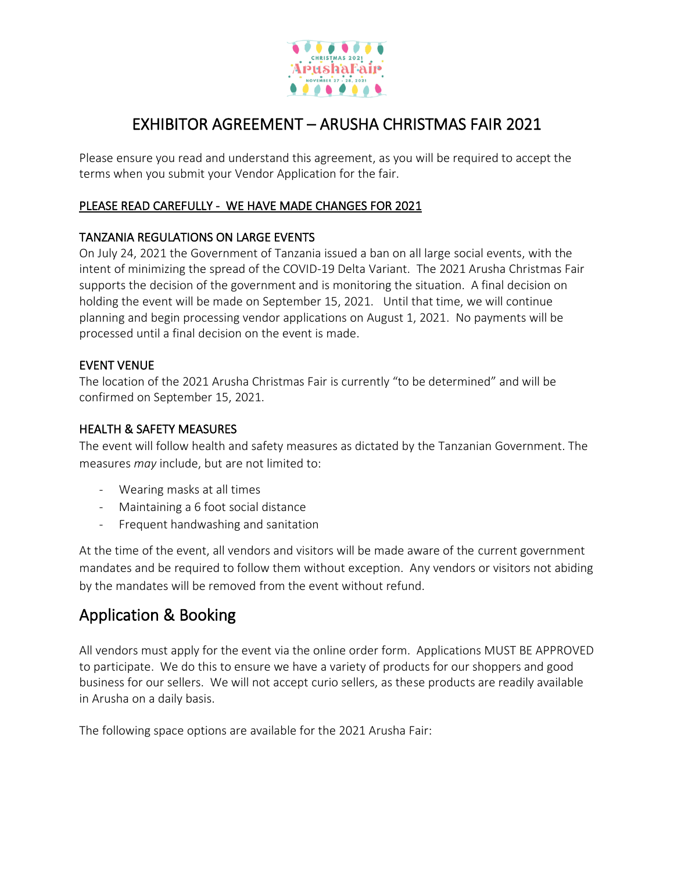

# EXHIBITOR AGREEMENT – ARUSHA CHRISTMAS FAIR 2021

Please ensure you read and understand this agreement, as you will be required to accept the terms when you submit your Vendor Application for the fair.

### PLEASE READ CAREFULLY - WE HAVE MADE CHANGES FOR 2021

### TANZANIA REGULATIONS ON LARGE EVENTS

On July 24, 2021 the Government of Tanzania issued a ban on all large social events, with the intent of minimizing the spread of the COVID-19 Delta Variant. The 2021 Arusha Christmas Fair supports the decision of the government and is monitoring the situation. A final decision on holding the event will be made on September 15, 2021. Until that time, we will continue planning and begin processing vendor applications on August 1, 2021. No payments will be processed until a final decision on the event is made.

### EVENT VENUE

The location of the 2021 Arusha Christmas Fair is currently "to be determined" and will be confirmed on September 15, 2021.

#### HEALTH & SAFETY MEASURES

The event will follow health and safety measures as dictated by the Tanzanian Government. The measures *may* include, but are not limited to:

- Wearing masks at all times
- Maintaining a 6 foot social distance
- Frequent handwashing and sanitation

At the time of the event, all vendors and visitors will be made aware of the current government mandates and be required to follow them without exception. Any vendors or visitors not abiding by the mandates will be removed from the event without refund.

# Application & Booking

All vendors must apply for the event via the online order form. Applications MUST BE APPROVED to participate. We do this to ensure we have a variety of products for our shoppers and good business for our sellers. We will not accept curio sellers, as these products are readily available in Arusha on a daily basis.

The following space options are available for the 2021 Arusha Fair: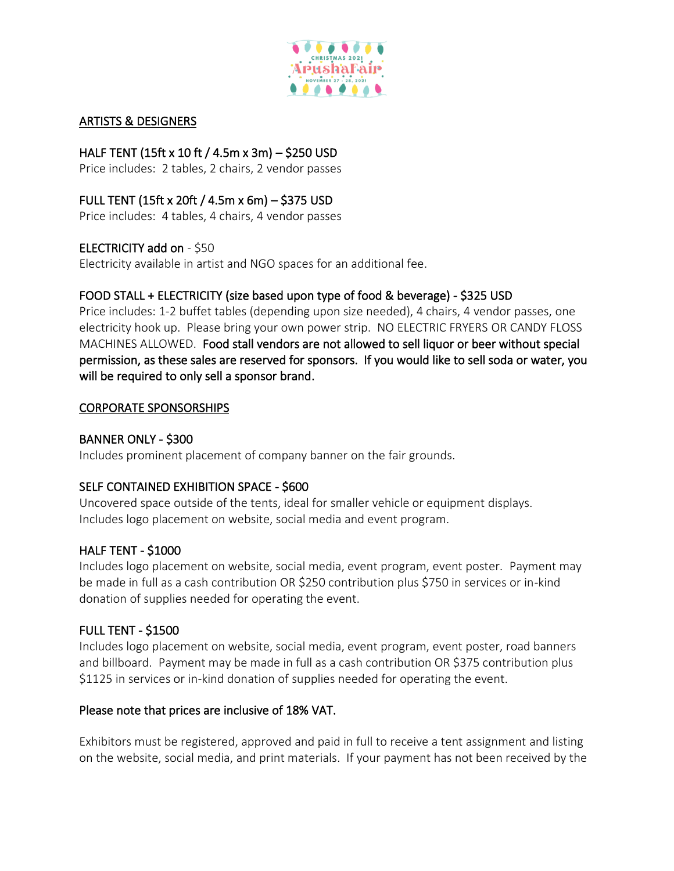

#### ARTISTS & DESIGNERS

## HALF TENT (15ft x 10 ft / 4.5m x 3m) – \$250 USD

Price includes: 2 tables, 2 chairs, 2 vendor passes

### FULL TENT (15ft x 20ft / 4.5m x 6m) – \$375 USD

Price includes: 4 tables, 4 chairs, 4 vendor passes

### ELECTRICITY add on - \$50

Electricity available in artist and NGO spaces for an additional fee.

## FOOD STALL + ELECTRICITY (size based upon type of food & beverage) - \$325 USD

Price includes: 1-2 buffet tables (depending upon size needed), 4 chairs, 4 vendor passes, one electricity hook up. Please bring your own power strip. NO ELECTRIC FRYERS OR CANDY FLOSS MACHINES ALLOWED. Food stall vendors are not allowed to sell liquor or beer without special permission, as these sales are reserved for sponsors. If you would like to sell soda or water, you will be required to only sell a sponsor brand.

#### CORPORATE SPONSORSHIPS

#### BANNER ONLY - \$300

Includes prominent placement of company banner on the fair grounds.

#### SELF CONTAINED EXHIBITION SPACE - \$600

Uncovered space outside of the tents, ideal for smaller vehicle or equipment displays. Includes logo placement on website, social media and event program.

#### HALF TENT - \$1000

Includes logo placement on website, social media, event program, event poster. Payment may be made in full as a cash contribution OR \$250 contribution plus \$750 in services or in-kind donation of supplies needed for operating the event.

#### FULL TENT - \$1500

Includes logo placement on website, social media, event program, event poster, road banners and billboard. Payment may be made in full as a cash contribution OR \$375 contribution plus \$1125 in services or in-kind donation of supplies needed for operating the event.

#### Please note that prices are inclusive of 18% VAT.

Exhibitors must be registered, approved and paid in full to receive a tent assignment and listing on the website, social media, and print materials. If your payment has not been received by the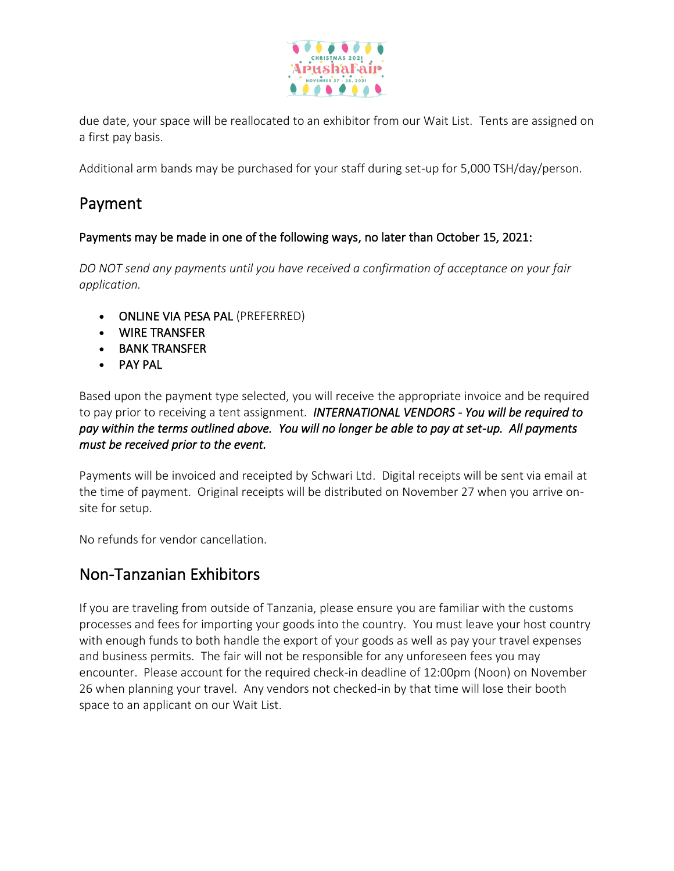

due date, your space will be reallocated to an exhibitor from our Wait List. Tents are assigned on a first pay basis.

Additional arm bands may be purchased for your staff during set-up for 5,000 TSH/day/person.

# Payment

### Payments may be made in one of the following ways, no later than October 15, 2021:

*DO NOT send any payments until you have received a confirmation of acceptance on your fair application.*

- ONLINE VIA PESA PAL (PREFERRED)
- WIRE TRANSFER
- BANK TRANSFER
- PAY PAL

Based upon the payment type selected, you will receive the appropriate invoice and be required to pay prior to receiving a tent assignment. *INTERNATIONAL VENDORS - You will be required to pay within the terms outlined above. You will no longer be able to pay at set-up. All payments must be received prior to the event.*

Payments will be invoiced and receipted by Schwari Ltd. Digital receipts will be sent via email at the time of payment. Original receipts will be distributed on November 27 when you arrive onsite for setup.

No refunds for vendor cancellation.

## Non-Tanzanian Exhibitors

If you are traveling from outside of Tanzania, please ensure you are familiar with the customs processes and fees for importing your goods into the country. You must leave your host country with enough funds to both handle the export of your goods as well as pay your travel expenses and business permits. The fair will not be responsible for any unforeseen fees you may encounter. Please account for the required check-in deadline of 12:00pm (Noon) on November 26 when planning your travel. Any vendors not checked-in by that time will lose their booth space to an applicant on our Wait List.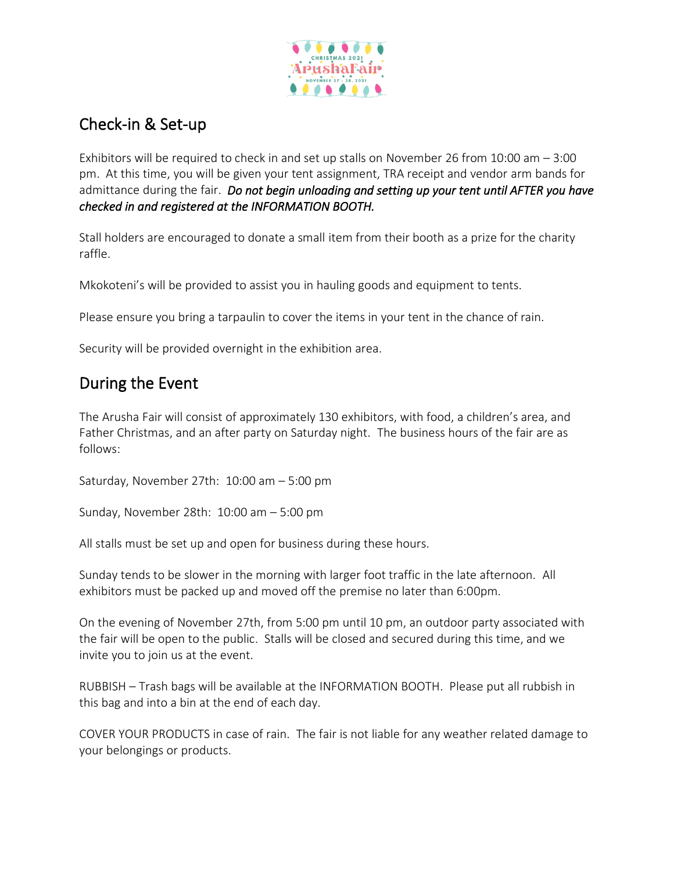

# Check-in & Set-up

Exhibitors will be required to check in and set up stalls on November 26 from 10:00 am – 3:00 pm. At this time, you will be given your tent assignment, TRA receipt and vendor arm bands for admittance during the fair. *Do not begin unloading and setting up your tent until AFTER you have checked in and registered at the INFORMATION BOOTH.* 

Stall holders are encouraged to donate a small item from their booth as a prize for the charity raffle.

Mkokoteni's will be provided to assist you in hauling goods and equipment to tents.

Please ensure you bring a tarpaulin to cover the items in your tent in the chance of rain.

Security will be provided overnight in the exhibition area.

# During the Event

The Arusha Fair will consist of approximately 130 exhibitors, with food, a children's area, and Father Christmas, and an after party on Saturday night. The business hours of the fair are as follows:

Saturday, November 27th: 10:00 am – 5:00 pm

Sunday, November 28th: 10:00 am – 5:00 pm

All stalls must be set up and open for business during these hours.

Sunday tends to be slower in the morning with larger foot traffic in the late afternoon. All exhibitors must be packed up and moved off the premise no later than 6:00pm.

On the evening of November 27th, from 5:00 pm until 10 pm, an outdoor party associated with the fair will be open to the public. Stalls will be closed and secured during this time, and we invite you to join us at the event.

RUBBISH – Trash bags will be available at the INFORMATION BOOTH. Please put all rubbish in this bag and into a bin at the end of each day.

COVER YOUR PRODUCTS in case of rain. The fair is not liable for any weather related damage to your belongings or products.